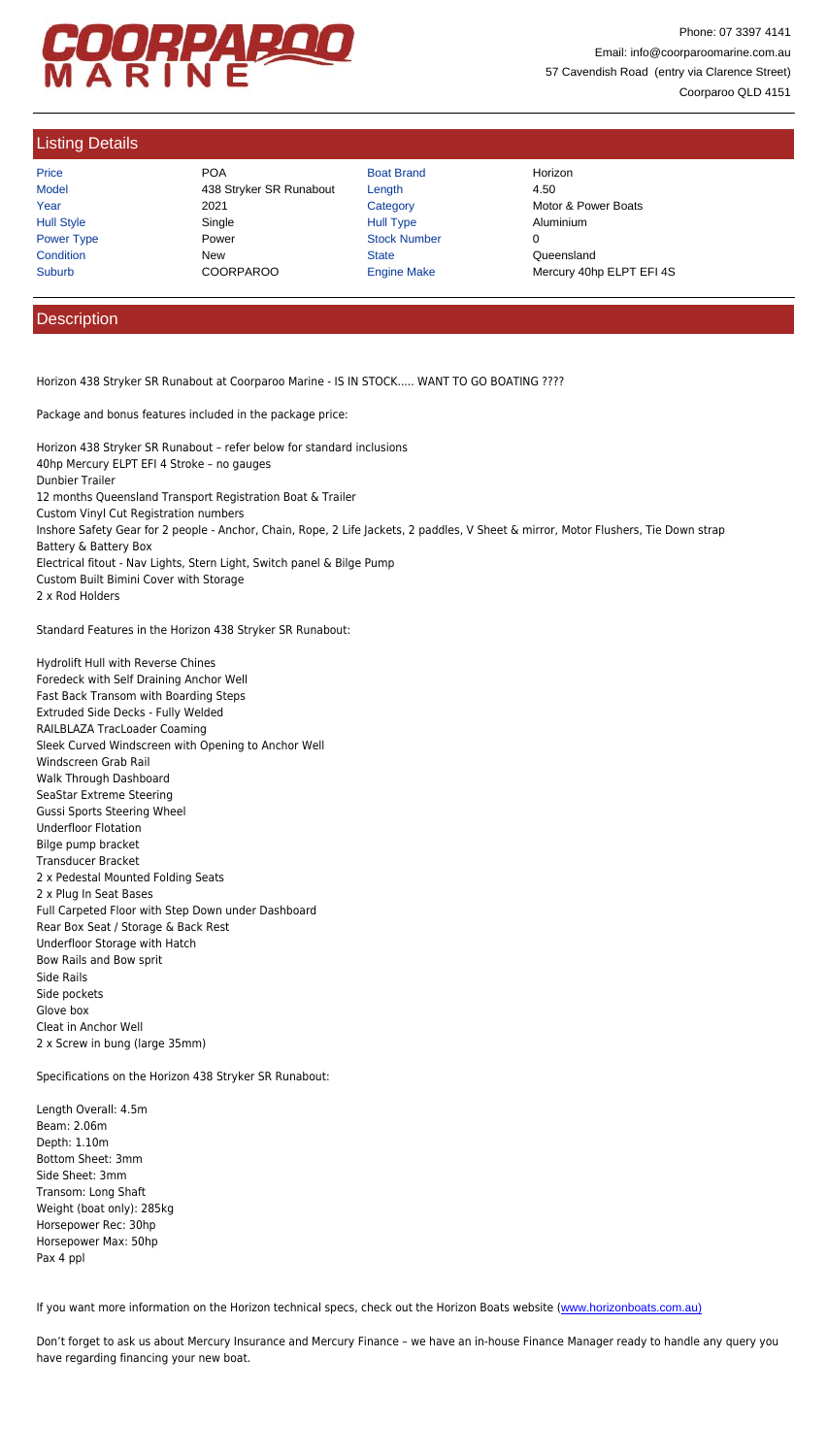Inshore Safety Gear for 2 people - Anchor, Chain, Rope, 2 Life Jackets, 2 paddles, V Sheet & mirror, Motor Flushers, Tie Down strap Battery & Battery Box Electrical fitout - Nav Lights, Stern Light, Switch panel & Bilge Pump Custom Built Bimini Cover with Storage 2 x Rod Holders

Standard Features in the Horizon 438 Stryker SR Runabout:

Hydrolift Hull with Reverse Chines Foredeck with Self Draining Anchor Well Fast Back Transom with Boarding Steps Extruded Side Decks - Fully Welded RAILBLAZA TracLoader Coaming Sleek Curved Windscreen with Opening to Anchor Well Windscreen Grab Rail Walk Through Dashboard SeaStar Extreme Steering Gussi Sports Steering Wheel Underfloor Flotation Bilge pump bracket Transducer Bracket 2 x Pedestal Mounted Folding Seats 2 x Plug In Seat Bases Full Carpeted Floor with Step Down under Dashboard Rear Box Seat / Storage & Back Rest Underfloor Storage with Hatch Bow Rails and Bow sprit Side Rails Side pockets Glove box Cleat in Anchor Well 2 x Screw in bung (large 35mm)

Specifications on the Horizon 438 Stryker SR Runabout:

Length Overall: 4.5m Beam: 2.06m Depth: 1.10m Bottom Sheet: 3mm Side Sheet: 3mm Transom: Long Shaft Weight (boat only): 285kg Horsepower Rec: 30hp Horsepower Max: 50hp Pax 4 ppl

If you want more information on the Horizon technical specs, check out the Horizon Boats website (www.horizonboats.com.au)

Don't forget to ask us about Mercury Insurance and Mercury Finance – we have an in-house Finance Manager ready to handle ar have regarding financing your new boat.